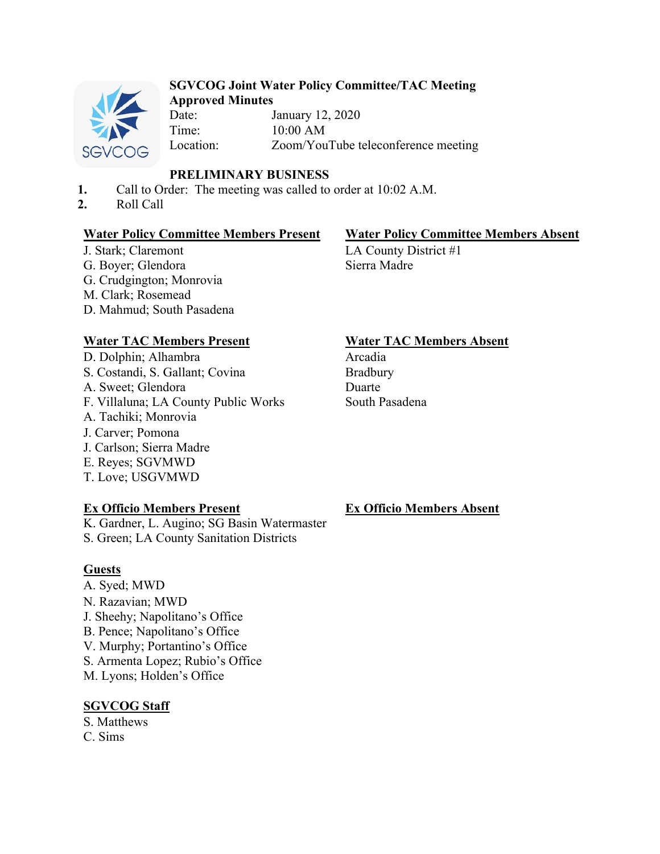

#### **SGVCOG Joint Water Policy Committee/TAC Meeting Approved Minutes**

Date: January 12, 2020 Time: 10:00 AM Location: Zoom/YouTube teleconference meeting

# **PRELIMINARY BUSINESS**

- **1.** Call to Order: The meeting was called to order at 10:02 A.M.
- **2.** Roll Call

# **Water Policy Committee Members Present Water Policy Committee Members Absent**

J. Stark; Claremont G. Boyer; Glendora G. Crudgington; Monrovia M. Clark; Rosemead D. Mahmud; South Pasadena

LA County District #1 Sierra Madre

# **Water TAC Members Present Water TAC Members Absent**

D. Dolphin; Alhambra S. Costandi, S. Gallant; Covina A. Sweet; Glendora F. Villaluna; LA County Public Works A. Tachiki; Monrovia J. Carver; Pomona J. Carlson; Sierra Madre E. Reyes; SGVMWD T. Love; USGVMWD

# **Ex Officio Members Present**

K. Gardner, L. Augino; SG Basin Watermaster S. Green; LA County Sanitation Districts

# **Guests**

A. Syed; MWD N. Razavian; MWD J. Sheehy; Napolitano's Office B. Pence; Napolitano's Office V. Murphy; Portantino's Office S. Armenta Lopez; Rubio's Office M. Lyons; Holden's Office

# **SGVCOG Staff**

S. Matthews C. Sims

Arcadia Bradbury Duarte South Pasadena

# **Ex Officio Members Absent**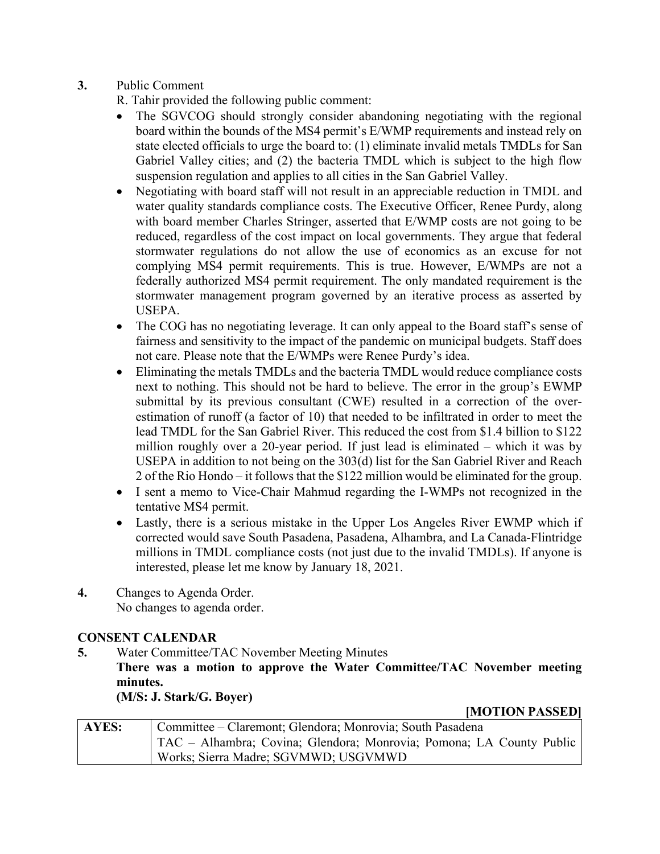**3.** Public Comment

R. Tahir provided the following public comment:

- The SGVCOG should strongly consider abandoning negotiating with the regional board within the bounds of the MS4 permit's E/WMP requirements and instead rely on state elected officials to urge the board to: (1) eliminate invalid metals TMDLs for San Gabriel Valley cities; and (2) the bacteria TMDL which is subject to the high flow suspension regulation and applies to all cities in the San Gabriel Valley.
- Negotiating with board staff will not result in an appreciable reduction in TMDL and water quality standards compliance costs. The Executive Officer, Renee Purdy, along with board member Charles Stringer, asserted that E/WMP costs are not going to be reduced, regardless of the cost impact on local governments. They argue that federal stormwater regulations do not allow the use of economics as an excuse for not complying MS4 permit requirements. This is true. However, E/WMPs are not a federally authorized MS4 permit requirement. The only mandated requirement is the stormwater management program governed by an iterative process as asserted by USEPA.
- The COG has no negotiating leverage. It can only appeal to the Board staff's sense of fairness and sensitivity to the impact of the pandemic on municipal budgets. Staff does not care. Please note that the E/WMPs were Renee Purdy's idea.
- Eliminating the metals TMDLs and the bacteria TMDL would reduce compliance costs next to nothing. This should not be hard to believe. The error in the group's EWMP submittal by its previous consultant (CWE) resulted in a correction of the overestimation of runoff (a factor of 10) that needed to be infiltrated in order to meet the lead TMDL for the San Gabriel River. This reduced the cost from \$1.4 billion to \$122 million roughly over a 20-year period. If just lead is eliminated – which it was by USEPA in addition to not being on the 303(d) list for the San Gabriel River and Reach 2 of the Rio Hondo – it follows that the \$122 million would be eliminated for the group.
- I sent a memo to Vice-Chair Mahmud regarding the I-WMPs not recognized in the tentative MS4 permit.
- Lastly, there is a serious mistake in the Upper Los Angeles River EWMP which if corrected would save South Pasadena, Pasadena, Alhambra, and La Canada-Flintridge millions in TMDL compliance costs (not just due to the invalid TMDLs). If anyone is interested, please let me know by January 18, 2021.
- **4.** Changes to Agenda Order. No changes to agenda order.

# **CONSENT CALENDAR**

**5.** Water Committee/TAC November Meeting Minutes

**There was a motion to approve the Water Committee/TAC November meeting minutes.** 

**(M/S: J. Stark/G. Boyer)** 

**[MOTION PASSED]** 

| AYES: | Committee – Claremont; Glendora; Monrovia; South Pasadena            |
|-------|----------------------------------------------------------------------|
|       | TAC – Alhambra; Covina; Glendora; Monrovia; Pomona; LA County Public |
|       | Works; Sierra Madre; SGVMWD; USGVMWD                                 |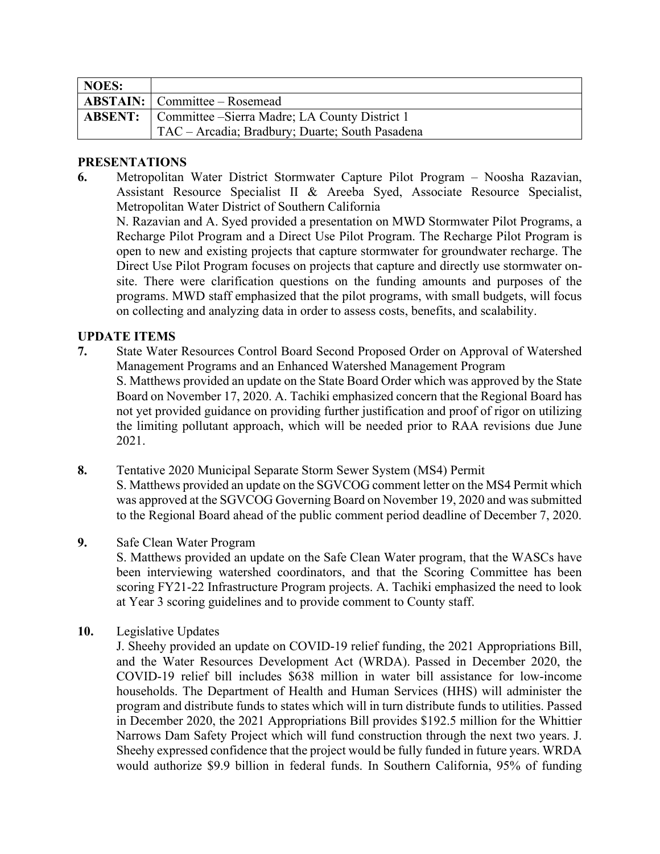| NOES: |                                                               |
|-------|---------------------------------------------------------------|
|       | <b>ABSTAIN:</b> Committee – Rosemead                          |
|       | <b>ABSENT:</b> Committee – Sierra Madre; LA County District 1 |
|       | TAC - Arcadia; Bradbury; Duarte; South Pasadena               |

#### **PRESENTATIONS**

**6.** Metropolitan Water District Stormwater Capture Pilot Program – Noosha Razavian, Assistant Resource Specialist II & Areeba Syed, Associate Resource Specialist, Metropolitan Water District of Southern California

N. Razavian and A. Syed provided a presentation on MWD Stormwater Pilot Programs, a Recharge Pilot Program and a Direct Use Pilot Program. The Recharge Pilot Program is open to new and existing projects that capture stormwater for groundwater recharge. The Direct Use Pilot Program focuses on projects that capture and directly use stormwater onsite. There were clarification questions on the funding amounts and purposes of the programs. MWD staff emphasized that the pilot programs, with small budgets, will focus on collecting and analyzing data in order to assess costs, benefits, and scalability.

# **UPDATE ITEMS**

- **7.** State Water Resources Control Board Second Proposed Order on Approval of Watershed Management Programs and an Enhanced Watershed Management Program S. Matthews provided an update on the State Board Order which was approved by the State Board on November 17, 2020. A. Tachiki emphasized concern that the Regional Board has not yet provided guidance on providing further justification and proof of rigor on utilizing the limiting pollutant approach, which will be needed prior to RAA revisions due June 2021.
- **8.** Tentative 2020 Municipal Separate Storm Sewer System (MS4) Permit S. Matthews provided an update on the SGVCOG comment letter on the MS4 Permit which was approved at the SGVCOG Governing Board on November 19, 2020 and was submitted to the Regional Board ahead of the public comment period deadline of December 7, 2020.
- **9.** Safe Clean Water Program

S. Matthews provided an update on the Safe Clean Water program, that the WASCs have been interviewing watershed coordinators, and that the Scoring Committee has been scoring FY21-22 Infrastructure Program projects. A. Tachiki emphasized the need to look at Year 3 scoring guidelines and to provide comment to County staff.

**10.** Legislative Updates

J. Sheehy provided an update on COVID-19 relief funding, the 2021 Appropriations Bill, and the Water Resources Development Act (WRDA). Passed in December 2020, the COVID-19 relief bill includes \$638 million in water bill assistance for low-income households. The Department of Health and Human Services (HHS) will administer the program and distribute funds to states which will in turn distribute funds to utilities. Passed in December 2020, the 2021 Appropriations Bill provides \$192.5 million for the Whittier Narrows Dam Safety Project which will fund construction through the next two years. J. Sheehy expressed confidence that the project would be fully funded in future years. WRDA would authorize \$9.9 billion in federal funds. In Southern California, 95% of funding